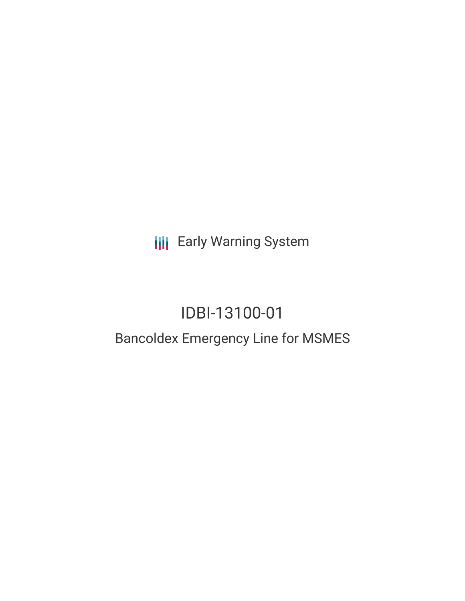**III** Early Warning System

# IDBI-13100-01

## Bancoldex Emergency Line for MSMES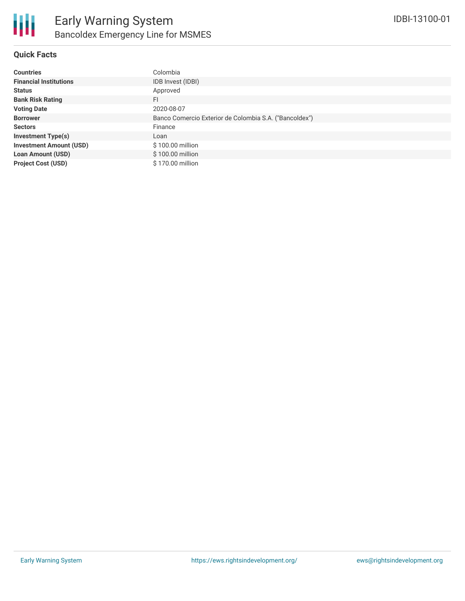

#### **Quick Facts**

| <b>Countries</b>               | Colombia                                               |
|--------------------------------|--------------------------------------------------------|
| <b>Financial Institutions</b>  | IDB Invest (IDBI)                                      |
| <b>Status</b>                  | Approved                                               |
| <b>Bank Risk Rating</b>        | FI                                                     |
| <b>Voting Date</b>             | 2020-08-07                                             |
| <b>Borrower</b>                | Banco Comercio Exterior de Colombia S.A. ("Bancoldex") |
| <b>Sectors</b>                 | Finance                                                |
| <b>Investment Type(s)</b>      | Loan                                                   |
| <b>Investment Amount (USD)</b> | \$100.00 million                                       |
| <b>Loan Amount (USD)</b>       | \$100.00 million                                       |
| <b>Project Cost (USD)</b>      | \$170.00 million                                       |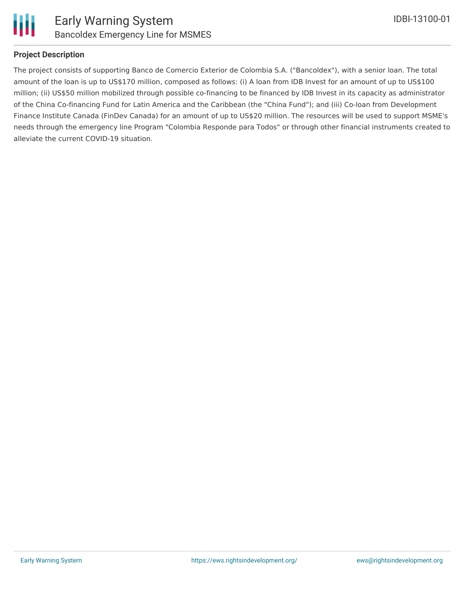

#### **Project Description**

The project consists of supporting Banco de Comercio Exterior de Colombia S.A. ("Bancoldex"), with a senior loan. The total amount of the loan is up to US\$170 million, composed as follows: (i) A loan from IDB Invest for an amount of up to US\$100 million; (ii) US\$50 million mobilized through possible co-financing to be financed by IDB Invest in its capacity as administrator of the China Co-financing Fund for Latin America and the Caribbean (the "China Fund"); and (iii) Co-loan from Development Finance Institute Canada (FinDev Canada) for an amount of up to US\$20 million. The resources will be used to support MSME's needs through the emergency line Program "Colombia Responde para Todos" or through other financial instruments created to alleviate the current COVID-19 situation.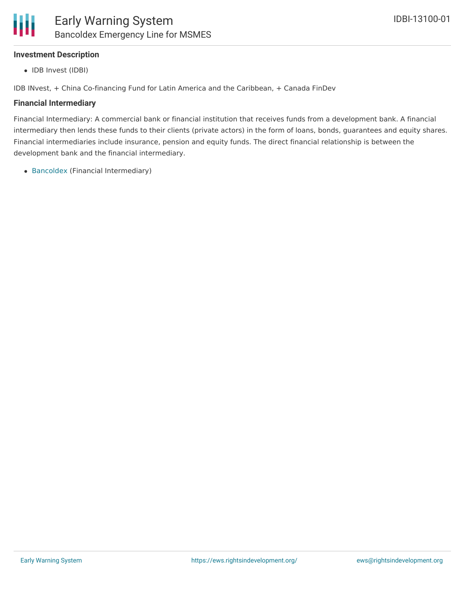#### **Investment Description**

• IDB Invest (IDBI)

IDB INvest, + China Co-financing Fund for Latin America and the Caribbean, + Canada FinDev

#### **Financial Intermediary**

Financial Intermediary: A commercial bank or financial institution that receives funds from a development bank. A financial intermediary then lends these funds to their clients (private actors) in the form of loans, bonds, guarantees and equity shares. Financial intermediaries include insurance, pension and equity funds. The direct financial relationship is between the development bank and the financial intermediary.

[Bancoldex](file:///actor/2567/) (Financial Intermediary)